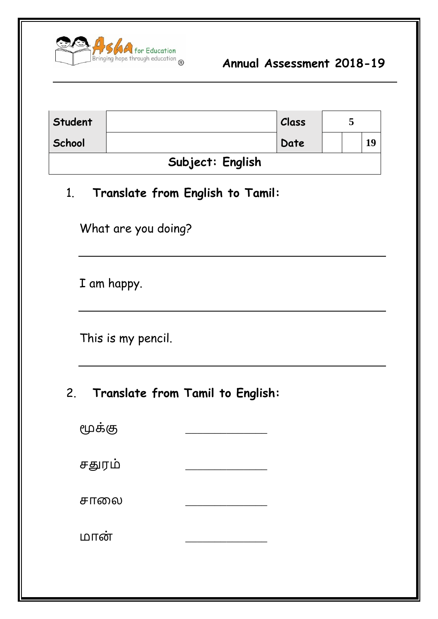

| Student          |  | Class |  |  |    |  |
|------------------|--|-------|--|--|----|--|
| School           |  | Date  |  |  | 19 |  |
| Subject: English |  |       |  |  |    |  |

#### 1. **Translate from English to Tamil:**

What are you doing?

I am happy.

This is my pencil.

# 2. **Translate from Tamil to English:**

| மூக்கு |  |
|--------|--|
| சதுரம் |  |
| சாலை   |  |
| மான்   |  |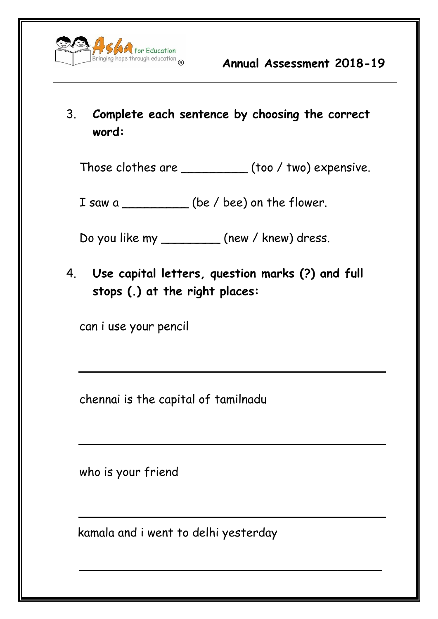

# 3. **Complete each sentence by choosing the correct word:**

Those clothes are \_\_\_\_\_\_\_\_\_ (too / two) expensive.

I saw a \_\_\_\_\_\_\_\_\_\_\_ (be / bee) on the flower.

Do you like my \_\_\_\_\_\_\_\_ (new / knew) dress.

4. **Use capital letters, question marks (?) and full stops (.) at the right places:**

can i use your pencil

chennai is the capital of tamilnadu

who is your friend

kamala and i went to delhi yesterday

 $\overline{\phantom{a}}$  , and the contract of the contract of the contract of the contract of the contract of the contract of the contract of the contract of the contract of the contract of the contract of the contract of the contrac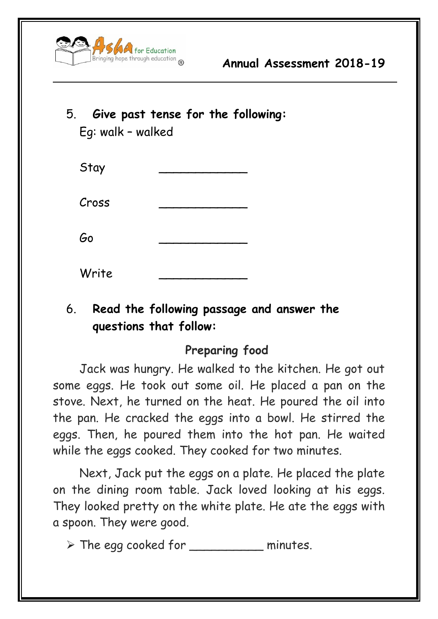

# 5. **Give past tense for the following:** Eg: walk – walked

| Stay  |  |
|-------|--|
| Cross |  |
| Go    |  |
| Write |  |

### 6. **Read the following passage and answer the questions that follow:**

#### **Preparing food**

Jack was hungry. He walked to the kitchen. He got out some eggs. He took out some oil. He placed a pan on the stove. Next, he turned on the heat. He poured the oil into the pan. He cracked the eggs into a bowl. He stirred the eggs. Then, he poured them into the hot pan. He waited while the eggs cooked. They cooked for two minutes.

Next, Jack put the eggs on a plate. He placed the plate on the dining room table. Jack loved looking at his eggs. They looked pretty on the white plate. He ate the eggs with a spoon. They were good.

➢ The egg cooked for \_\_\_\_\_\_\_\_\_\_ minutes.